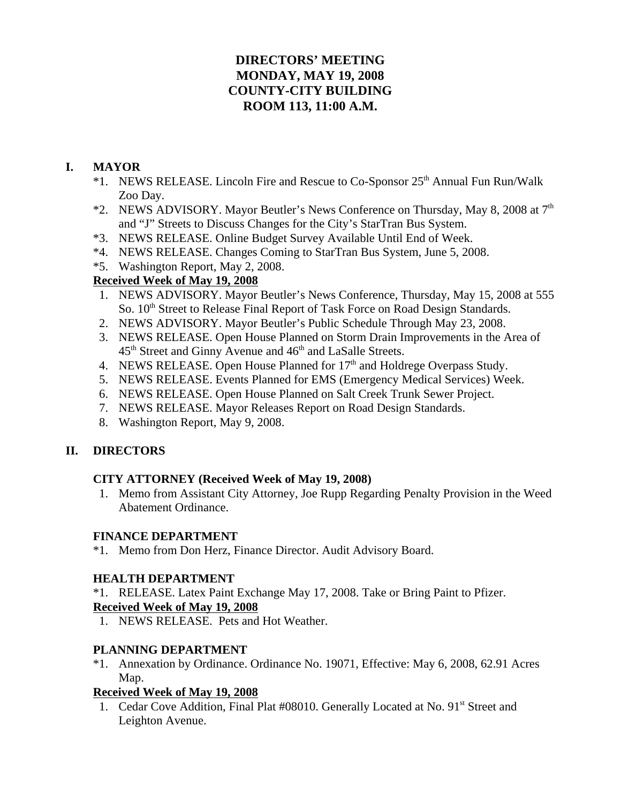# **DIRECTORS' MEETING MONDAY, MAY 19, 2008 COUNTY-CITY BUILDING ROOM 113, 11:00 A.M.**

## **I. MAYOR**

- \*1. NEWS RELEASE. Lincoln Fire and Rescue to Co-Sponsor 25th Annual Fun Run/Walk Zoo Day.
- \*2. NEWS ADVISORY. Mayor Beutler's News Conference on Thursday, May 8, 2008 at  $7<sup>th</sup>$ and "J" Streets to Discuss Changes for the City's StarTran Bus System.
- \*3. NEWS RELEASE. Online Budget Survey Available Until End of Week.
- \*4. NEWS RELEASE. Changes Coming to StarTran Bus System, June 5, 2008.
- \*5. Washington Report, May 2, 2008.

### **Received Week of May 19, 2008**

- 1. NEWS ADVISORY. Mayor Beutler's News Conference, Thursday, May 15, 2008 at 555 So. 10<sup>th</sup> Street to Release Final Report of Task Force on Road Design Standards.
- 2. NEWS ADVISORY. Mayor Beutler's Public Schedule Through May 23, 2008.
- 3. NEWS RELEASE. Open House Planned on Storm Drain Improvements in the Area of  $45<sup>th</sup>$  Street and Ginny Avenue and  $46<sup>th</sup>$  and LaSalle Streets.
- 4. NEWS RELEASE. Open House Planned for  $17<sup>th</sup>$  and Holdrege Overpass Study.
- 5. NEWS RELEASE. Events Planned for EMS (Emergency Medical Services) Week.
- 6. NEWS RELEASE. Open House Planned on Salt Creek Trunk Sewer Project.
- 7. NEWS RELEASE. Mayor Releases Report on Road Design Standards.
- 8. Washington Report, May 9, 2008.

## **II. DIRECTORS**

### **CITY ATTORNEY (Received Week of May 19, 2008)**

 1. Memo from Assistant City Attorney, Joe Rupp Regarding Penalty Provision in the Weed Abatement Ordinance.

### **FINANCE DEPARTMENT**

\*1. Memo from Don Herz, Finance Director. Audit Advisory Board.

### **HEALTH DEPARTMENT**

\*1. RELEASE. Latex Paint Exchange May 17, 2008. Take or Bring Paint to Pfizer.

### **Received Week of May 19, 2008**

1. NEWS RELEASE. Pets and Hot Weather.

## **PLANNING DEPARTMENT**

\*1. Annexation by Ordinance. Ordinance No. 19071, Effective: May 6, 2008, 62.91 Acres Map.

## **Received Week of May 19, 2008**

1. Cedar Cove Addition, Final Plat #08010. Generally Located at No. 91<sup>st</sup> Street and Leighton Avenue.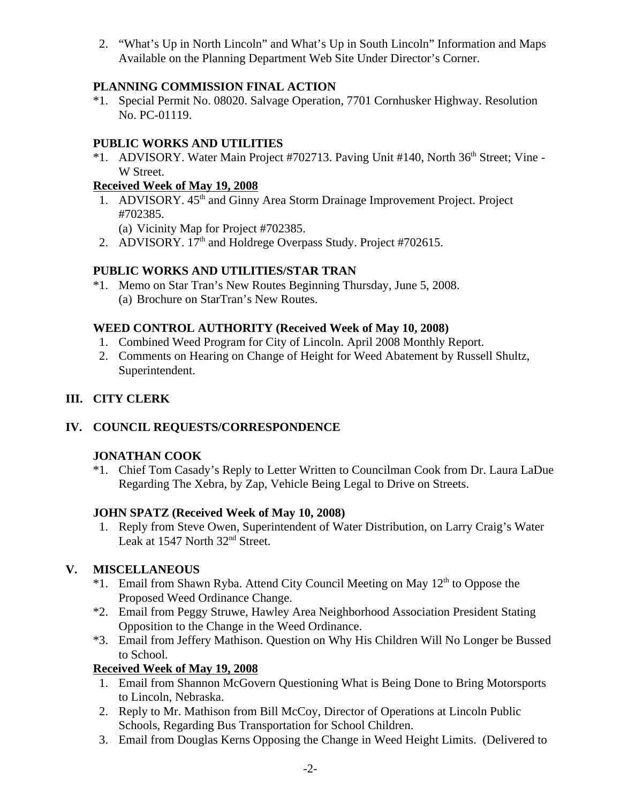2. "What's Up in North Lincoln" and What's Up in South Lincoln" Information and Maps Available on the Planning Department Web Site Under Director's Corner.

## **PLANNING COMMISSION FINAL ACTION**

\*1. Special Permit No. 08020. Salvage Operation, 7701 Cornhusker Highway. Resolution No. PC-01119.

### **PUBLIC WORKS AND UTILITIES**

\*1. ADVISORY. Water Main Project #702713. Paving Unit #140, North 36<sup>th</sup> Street: Vine -W Street.

### **Received Week of May 19, 2008**

1. ADVISORY. 45<sup>th</sup> and Ginny Area Storm Drainage Improvement Project. Project #702385.

(a) Vicinity Map for Project #702385.

2. ADVISORY. 17<sup>th</sup> and Holdrege Overpass Study. Project #702615.

## **PUBLIC WORKS AND UTILITIES/STAR TRAN**

\*1. Memo on Star Tran's New Routes Beginning Thursday, June 5, 2008. (a) Brochure on StarTran's New Routes.

### **WEED CONTROL AUTHORITY (Received Week of May 10, 2008)**

- 1. Combined Weed Program for City of Lincoln. April 2008 Monthly Report.
- 2. Comments on Hearing on Change of Height for Weed Abatement by Russell Shultz, Superintendent.

## **III. CITY CLERK**

## **IV. COUNCIL REQUESTS/CORRESPONDENCE**

### **JONATHAN COOK**

\*1. Chief Tom Casady's Reply to Letter Written to Councilman Cook from Dr. Laura LaDue Regarding The Xebra, by Zap, Vehicle Being Legal to Drive on Streets.

### **JOHN SPATZ (Received Week of May 10, 2008)**

1. Reply from Steve Owen, Superintendent of Water Distribution, on Larry Craig's Water Leak at 1547 North 32<sup>nd</sup> Street.

## **V. MISCELLANEOUS**

- \*1. Email from Shawn Ryba. Attend City Council Meeting on May  $12<sup>th</sup>$  to Oppose the Proposed Weed Ordinance Change.
- \*2. Email from Peggy Struwe, Hawley Area Neighborhood Association President Stating Opposition to the Change in the Weed Ordinance.
- \*3. Email from Jeffery Mathison. Question on Why His Children Will No Longer be Bussed to School.

### **Received Week of May 19, 2008**

- 1. Email from Shannon McGovern Questioning What is Being Done to Bring Motorsports to Lincoln, Nebraska.
- 2. Reply to Mr. Mathison from Bill McCoy, Director of Operations at Lincoln Public Schools, Regarding Bus Transportation for School Children.
- 3. Email from Douglas Kerns Opposing the Change in Weed Height Limits. (Delivered to